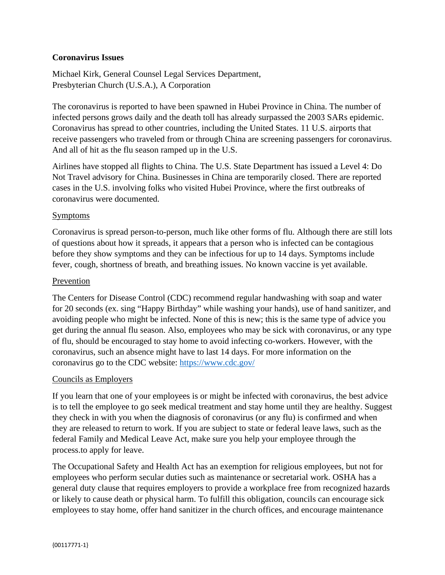# **Coronavirus Issues**

Michael Kirk, General Counsel Legal Services Department, Presbyterian Church (U.S.A.), A Corporation

The coronavirus is reported to have been spawned in Hubei Province in China. The number of infected persons grows daily and the death toll has already surpassed the 2003 SARs epidemic. Coronavirus has spread to other countries, including the United States. 11 U.S. airports that receive passengers who traveled from or through China are screening passengers for coronavirus. And all of hit as the flu season ramped up in the U.S.

Airlines have stopped all flights to China. The U.S. State Department has issued a Level 4: Do Not Travel advisory for China. Businesses in China are temporarily closed. There are reported cases in the U.S. involving folks who visited Hubei Province, where the first outbreaks of coronavirus were documented.

## **Symptoms**

Coronavirus is spread person-to-person, much like other forms of flu. Although there are still lots of questions about how it spreads, it appears that a person who is infected can be contagious before they show symptoms and they can be infectious for up to 14 days. Symptoms include fever, cough, shortness of breath, and breathing issues. No known vaccine is yet available.

## Prevention

The Centers for Disease Control (CDC) recommend regular handwashing with soap and water for 20 seconds (ex. sing "Happy Birthday" while washing your hands), use of hand sanitizer, and avoiding people who might be infected. None of this is new; this is the same type of advice you get during the annual flu season. Also, employees who may be sick with coronavirus, or any type of flu, should be encouraged to stay home to avoid infecting co-workers. However, with the coronavirus, such an absence might have to last 14 days. For more information on the coronavirus go to the CDC website:<https://www.cdc.gov/>

## Councils as Employers

If you learn that one of your employees is or might be infected with coronavirus, the best advice is to tell the employee to go seek medical treatment and stay home until they are healthy. Suggest they check in with you when the diagnosis of coronavirus (or any flu) is confirmed and when they are released to return to work. If you are subject to state or federal leave laws, such as the federal Family and Medical Leave Act, make sure you help your employee through the process.to apply for leave.

The Occupational Safety and Health Act has an exemption for religious employees, but not for employees who perform secular duties such as maintenance or secretarial work. OSHA has a general duty clause that requires employers to provide a workplace free from recognized hazards or likely to cause death or physical harm. To fulfill this obligation, councils can encourage sick employees to stay home, offer hand sanitizer in the church offices, and encourage maintenance